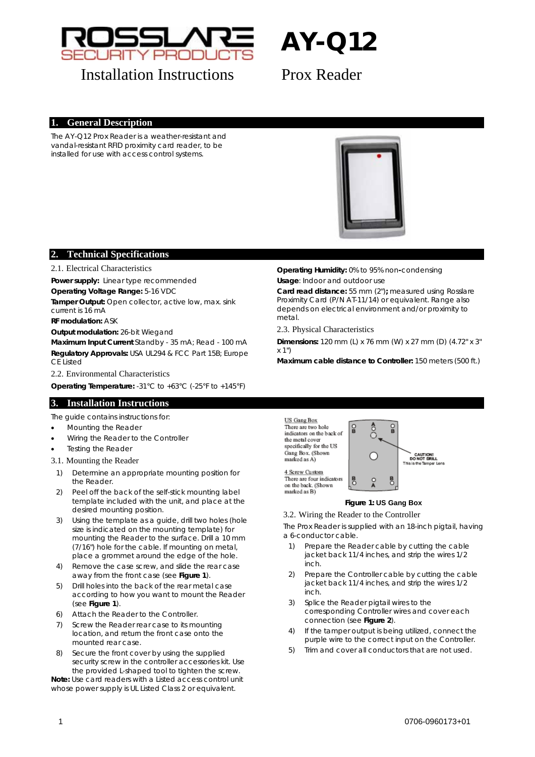

# **AY-Q12**

## **Installation Instructions** Prox Reader

### **1. General Description**

The AY-Q12 Prox Reader is a weather-resistant and vandal-resistant RFID proximity card reader, to be installed for use with access control systems.



#### **2. Technical Specifications**

#### 2.1. Electrical Characteristics

**Power supply:** Linear type recommended

**Operating Voltage Range:** 5-16 VDC

**Tamper Output:** Open collector, active low, max. sink current is 16 mA

**RF modulation:** ASK

**Output modulation:** 26-bit Wiegand

**Maximum Input Current** Standby - 35 mA; Read - 100 mA **Regulatory Approvals:** USA UL294 & FCC Part 15B; Europe CE Listed

2.2. Environmental Characteristics

**Operating Temperature:** -31°C to +63°C (-25°F to +145°F)

#### **3. Installation Instructions**

The guide contains instructions for:

- [Mounting the Reader](#page-0-0)
- [Wiring the Reader to the Controller](#page-0-1)
- [Testing the Reader](#page-1-0)
- <span id="page-0-0"></span>3.1. Mounting the Reader
- 1) Determine an appropriate mounting position for the Reader.
- <span id="page-0-2"></span>2) Peel off the back of the self-stick mounting label template included with the unit, and place at the desired mounting position.
- <span id="page-0-1"></span>3) Using the template as a guide, drill two holes (hole size is indicated on the mounting template) for mounting the Reader to the surface. Drill a 10 mm (7/16") hole for the cable. If mounting on metal, place a grommet around the edge of the hole.
- 4) Remove the case screw, and slide the rear case away from the front case (see **[Figure 1](#page-0-2)**).
- 5) Drill holes into the back of the rear metal case according to how you want to mount the Reader (see **[Figure 1](#page-0-2)**).
- 6) Attach the Reader to the Controller.
- 7) Screw the Reader rear case to its mounting location, and return the front case onto the mounted rear case.
- 8) Secure the front cover by using the supplied security screw in the controller accessories kit. Use the provided L-shaped tool to tighten the screw.

**Note:** Use card readers with a Listed access control unit whose power supply is UL Listed Class 2 or equivalent.

**Operating Humidity:** 0% to 95% non**-**condensing **Usage**: Indoor and outdoor use

**Card read distance:** 55 mm (2")**;** measured using Rosslare Proximity Card (P/N AT-11/14) or equivalent. Range also depends on electrical environment and/or proximity to metal.

#### 2.3. Physical Characteristics

**Dimensions:** 120 mm (L) x 76 mm (W) x 27 mm (D) (4.72" x 3" x 1")

**Maximum cable distance to Controller:** 150 meters (500 ft.)

US Gang Box There are two hole indicators on the back of the metal cover specifically for the US Gang Box. (Shown marked as A)



#### 4 Screw Custom There are four indicators on the back, (Shown marked as B)

#### **Figure 1: US Gang Box**

#### 3.2. Wiring the Reader to the Controller

The Prox Reader is supplied with an 18-inch pigtail, having a 6-conductor cable.

- 1) Prepare the Reader cable by cutting the cable jacket back 11/4 inches, and strip the wires 1/2 inch.
- 2) Prepare the Controller cable by cutting the cable jacket back 11/4 inches, and strip the wires 1/2 inch.
- 3) Splice the Reader pigtail wires to the corresponding Controller wires and cover each connection (see **[Figure 2](#page-1-1)**).
- 4) If the tamper output is being utilized, connect the purple wire to the correct input on the Controller.
- 5) Trim and cover all conductors that are not used.